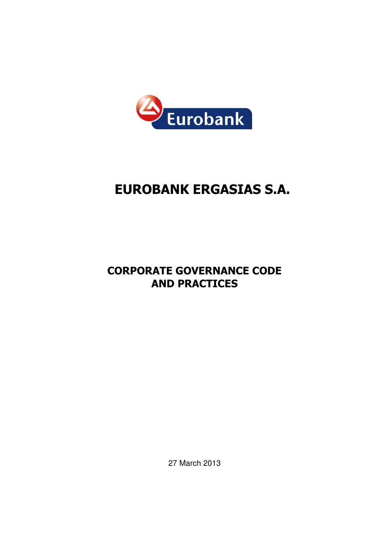

# EUROBANK ERGASIΑS S.A.

# CORPORATE GOVERNANCE CODE AND PRACTICES

27 March 2013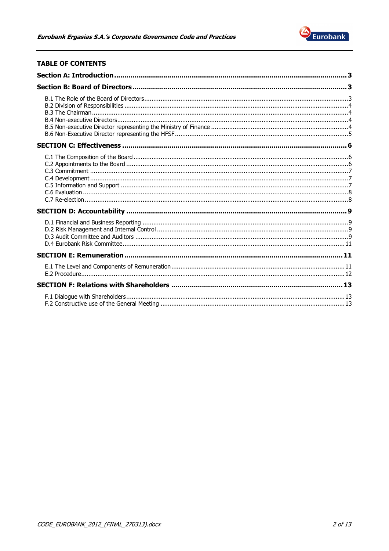

# **TABLE OF CONTENTS**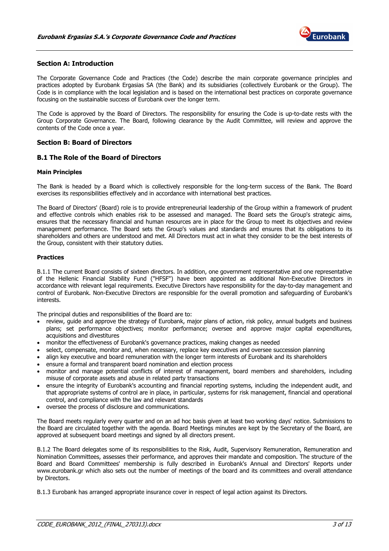

# Section A: Introduction

The Corporate Governance Code and Practices (the Code) describe the main corporate governance principles and practices adopted by Eurobank Ergasias SA (the Bank) and its subsidiaries (collectively Eurobank or the Group). The Code is in compliance with the local legislation and is based on the international best practices on corporate governance focusing on the sustainable success of Eurobank over the longer term.

The Code is approved by the Board of Directors. The responsibility for ensuring the Code is up-to-date rests with the Group Corporate Governance. The Board, following clearance by the Audit Committee, will review and approve the contents of the Code once a year.

# Section B: Board of Directors

# B.1 The Role of the Board of Directors

#### Main Principles

The Bank is headed by a Board which is collectively responsible for the long-term success of the Bank. The Board exercises its responsibilities effectively and in accordance with international best practices.

The Board of Directors' (Board) role is to provide entrepreneurial leadership of the Group within a framework of prudent and effective controls which enables risk to be assessed and managed. The Board sets the Group's strategic aims, ensures that the necessary financial and human resources are in place for the Group to meet its objectives and review management performance. The Board sets the Group's values and standards and ensures that its obligations to its shareholders and others are understood and met. All Directors must act in what they consider to be the best interests of the Group, consistent with their statutory duties.

#### Practices

B.1.1 The current Board consists of sixteen directors. In addition, one government representative and one representative of the Hellenic Financial Stability Fund ("HFSF") have been appointed as additional Non-Executive Directors in accordance with relevant legal requirements. Executive Directors have responsibility for the day-to-day management and control of Eurobank. Non-Executive Directors are responsible for the overall promotion and safeguarding of Eurobank's interests.

The principal duties and responsibilities of the Board are to:

- review, guide and approve the strategy of Eurobank, major plans of action, risk policy, annual budgets and business plans; set performance objectives; monitor performance; oversee and approve major capital expenditures, acquisitions and divestitures
- monitor the effectiveness of Eurobank's governance practices, making changes as needed
- select, compensate, monitor and, when necessary, replace key executives and oversee succession planning
- align key executive and board remuneration with the longer term interests of Eurobank and its shareholders
- ensure a formal and transparent board nomination and election process
- monitor and manage potential conflicts of interest of management, board members and shareholders, including misuse of corporate assets and abuse in related party transactions
- ensure the integrity of Eurobank's accounting and financial reporting systems, including the independent audit, and that appropriate systems of control are in place, in particular, systems for risk management, financial and operational control, and compliance with the law and relevant standards
- oversee the process of disclosure and communications.

The Board meets regularly every quarter and on an ad hoc basis given at least two working days' notice. Submissions to the Board are circulated together with the agenda. Board Meetings minutes are kept by the Secretary of the Board, are approved at subsequent board meetings and signed by all directors present.

B.1.2 The Board delegates some of its responsibilities to the Risk, Audit, Supervisory Remuneration, Remuneration and Nomination Committees, assesses their performance, and approves their mandate and composition. The structure of the Board and Board Committees' membership is fully described in Eurobank's Annual and Directors' Reports under www.eurobank.gr which also sets out the number of meetings of the board and its committees and overall attendance by Directors.

B.1.3 Eurobank has arranged appropriate insurance cover in respect of legal action against its Directors.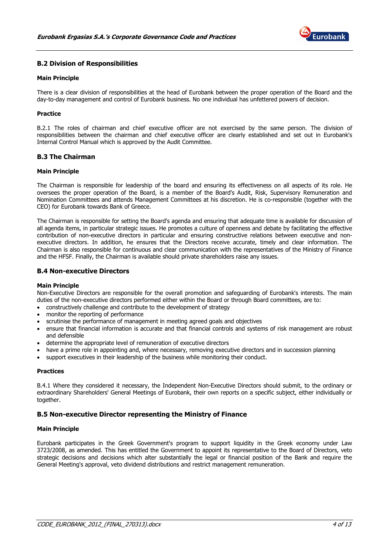

# B.2 Division of Responsibilities

#### Main Principle

There is a clear division of responsibilities at the head of Eurobank between the proper operation of the Board and the day-to-day management and control of Eurobank business. No one individual has unfettered powers of decision.

#### **Practice**

B.2.1 The roles of chairman and chief executive officer are not exercised by the same person. The division of responsibilities between the chairman and chief executive officer are clearly established and set out in Eurobank's Internal Control Manual which is approved by the Audit Committee.

# B.3 The Chairman

# Main Principle

The Chairman is responsible for leadership of the board and ensuring its effectiveness on all aspects of its role. He oversees the proper operation of the Board, is a member of the Board's Audit, Risk, Supervisory Remuneration and Nomination Committees and attends Management Committees at his discretion. He is co-responsible (together with the CEO) for Eurobank towards Bank of Greece.

The Chairman is responsible for setting the Board's agenda and ensuring that adequate time is available for discussion of all agenda items, in particular strategic issues. He promotes a culture of openness and debate by facilitating the effective contribution of non-executive directors in particular and ensuring constructive relations between executive and nonexecutive directors. In addition, he ensures that the Directors receive accurate, timely and clear information. The Chairman is also responsible for continuous and clear communication with the representatives of the Ministry of Finance and the HFSF. Finally, the Chairman is available should private shareholders raise any issues.

#### B.4 Non-executive Directors

#### Main Principle

Non-Executive Directors are responsible for the overall promotion and safeguarding of Eurobank's interests. The main duties of the non-executive directors performed either within the Board or through Board committees, are to:

- constructively challenge and contribute to the development of strategy
- monitor the reporting of performance
- scrutinise the performance of management in meeting agreed goals and objectives
- ensure that financial information is accurate and that financial controls and systems of risk management are robust and defensible
- determine the appropriate level of remuneration of executive directors
- have a prime role in appointing and, where necessary, removing executive directors and in succession planning
- support executives in their leadership of the business while monitoring their conduct.

#### Practices

B.4.1 Where they considered it necessary, the Independent Non-Executive Directors should submit, to the ordinary or extraordinary Shareholders' General Meetings of Eurobank, their own reports on a specific subject, either individually or together.

#### B.5 Non-executive Director representing the Ministry of Finance

#### Main Principle

Eurobank participates in the Greek Government's program to support liquidity in the Greek economy under Law 3723/2008, as amended. This has entitled the Government to appoint its representative to the Board of Directors, veto strategic decisions and decisions which alter substantially the legal or financial position of the Bank and require the General Meeting's approval, veto dividend distributions and restrict management remuneration.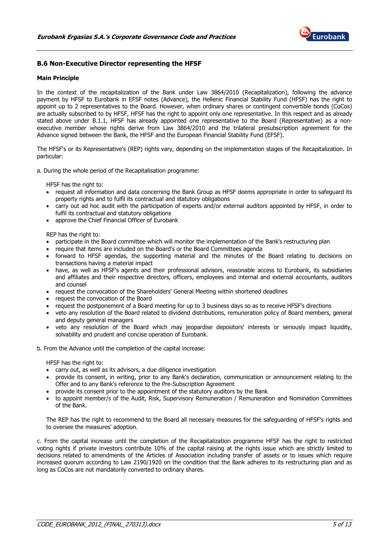

# B.6 Non-Executive Director representing the HFSF

#### Main Principle

In the context of the recapitalization of the Bank under Law 3864/2010 (Recapitalization), following the advance payment by HFSF to Eurobank in EFSF notes (Advance), the Hellenic Financial Stability Fund (HFSF) has the right to appoint up to 2 representatives to the Board. However, when ordinary shares or contingent convertible bonds (CoCos) are actually subscribed to by HFSF, HFSF has the right to appoint only one representative. In this respect and as already stated above under B.1.1, HFSF has already appointed one representative to the Board (Representative) as a nonexecutive member whose rights derive from Law 3864/2010 and the trilateral presubscription agreement for the Advance signed between the Bank, the HFSF and the European Financial Stability Fund (EFSF).

The HFSF's or its Representative's (REP) rights vary, depending on the implementation stages of the Recapitalization. In particular:

a. During the whole period of the Recapitalisation programme:

HFSF has the right to:

- request all information and data concerning the Bank Group as HFSF deems appropriate in order to safeguard its property rights and to fulfil its contractual and statutory obligations
- carry out ad hoc audit with the participation of experts and/or external auditors appointed by HFSF, in order to fulfil its contractual and statutory obligations
- approve the Chief Financial Officer of Eurobank

REP has the right to:

- participate in the Board committee which will monitor the implementation of the Bank's restructuring plan
- require that items are included on the Board's or the Board Committees agenda
- forward to HFSF agendas, the supporting material and the minutes of the Board relating to decisions on transactions having a material impact
- have, as well as HFSF's agents and their professional advisors, reasonable access to Eurobank, its subsidiaries and affiliates and their respective directors, officers, employees and internal and external accountants, auditors and counsel
- request the convocation of the Shareholders' General Meeting within shortened deadlines
- request the convocation of the Board
- request the postponement of a Board meeting for up to 3 business days so as to receive HFSF's directions
- veto any resolution of the Board related to dividend distributions, remuneration policy of Board members, general and deputy general managers
- veto any resolution of the Board which may jeopardise depositors' interests or seriously impact liquidity, solvability and prudent and concise operation of Eurobank.
- b. From the Advance until the completion of the capital increase:

HFSF has the right to:

- carry out, as well as its advisors, a due diligence investigation
- provide its consent, in writing, prior to any Bank's declaration, communication or announcement relating to the Offer and to any Bank's reference to the Pre-Subscription Agreement
- provide its consent prior to the appointment of the statutory auditors by the Bank
- to appoint member/s of the Audit, Risk, Supervisory Remuneration / Remuneration and Nomination Committees of the Bank.

The REP has the right to recommend to the Board all necessary measures for the safeguarding of HFSF's rights and to oversee the measures' adoption.

c. From the capital increase until the completion of the Recapitalization programme HFSF has the right to restricted voting rights if private investors contribute 10% of the capital raising at the rights issue which are strictly limited to decisions related to amendments of the Articles of Association including transfer of assets or to issues which require increased quorum according to Law 2190/1920 on the condition that the Bank adheres to its restructuring plan and as long as CoCos are not mandatorily converted to ordinary shares.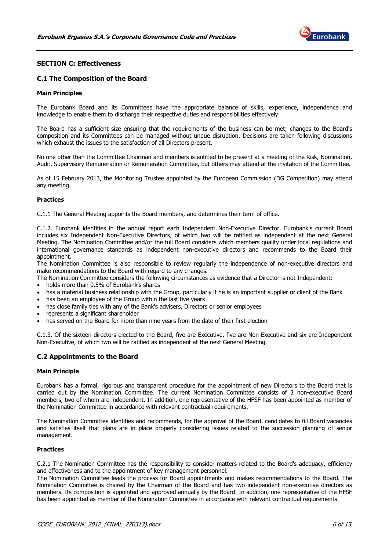

# SECTION C: Effectiveness

# C.1 The Composition of the Board

#### Main Principles

The Eurobank Board and its Committees have the appropriate balance of skills, experience, independence and knowledge to enable them to discharge their respective duties and responsibilities effectively.

The Board has a sufficient size ensuring that the requirements of the business can be met; changes to the Board's composition and its Committees can be managed without undue disruption. Decisions are taken following discussions which exhaust the issues to the satisfaction of all Directors present.

No one other than the Committee Chairman and members is entitled to be present at a meeting of the Risk, Nomination, Audit, Supervisory Remuneration or Remuneration Committee, but others may attend at the invitation of the Committee.

As of 15 February 2013, the Monitoring Trustee appointed by the European Commission (DG Competition) may attend any meeting.

#### Practices

C.1.1 The General Meeting appoints the Board members, and determines their term of office.

C.1.2. Eurobank identifies in the annual report each Independent Non-Executive Director. Eurobank's current Board includes six Independent Non-Executive Directors, of which two will be ratified as independent at the next General Meeting. The Nomination Committee and/or the full Board considers which members qualify under local regulations and international governance standards as independent non-executive directors and recommends to the Board their appointment.

The Nomination Committee is also responsible to review regularly the independence of non-executive directors and make recommendations to the Board with regard to any changes.

The Nomination Committee considers the following circumstances as evidence that a Director is not Independent:

- holds more than 0.5% of Eurobank's shares
- has a material business relationship with the Group, particularly if he is an important supplier or client of the Bank
- has been an employee of the Group within the last five years
- has close family ties with any of the Bank's advisers, Directors or senior employees
- represents a significant shareholder
- has served on the Board for more than nine years from the date of their first election

C.1.3. Of the sixteen directors elected to the Board, five are Executive, five are Non-Executive and six are Independent Non-Executive, of which two will be ratified as independent at the next General Meeting.

#### C.2 Appointments to the Board

#### Main Principle

Eurobank has a formal, rigorous and transparent procedure for the appointment of new Directors to the Board that is carried out by the Nomination Committee. The current Nomination Committee consists of 3 non-executive Board members, two of whom are independent. In addition, one representative of the HFSF has been appointed as member of the Nomination Committee in accordance with relevant contractual requirements.

The Nomination Committee identifies and recommends, for the approval of the Board, candidates to fill Board vacancies and satisfies itself that plans are in place properly considering issues related to the succession planning of senior management.

#### Practices

C.2.1 The Nomination Committee has the responsibility to consider matters related to the Board's adequacy, efficiency and effectiveness and to the appointment of key management personnel.

The Nomination Committee leads the process for Board appointments and makes recommendations to the Board. The Nomination Committee is chaired by the Chairman of the Board and has two independent non-executive directors as members. Its composition is appointed and approved annually by the Board. In addition, one representative of the HFSF has been appointed as member of the Nomination Committee in accordance with relevant contractual requirements.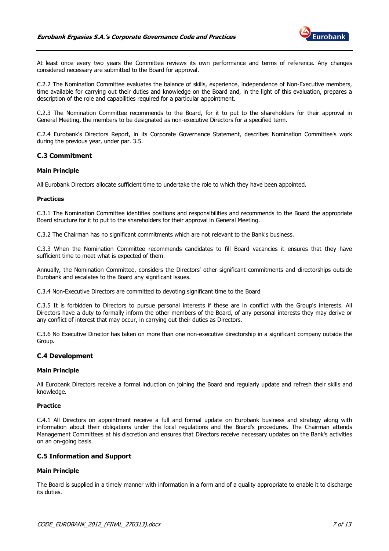

At least once every two years the Committee reviews its own performance and terms of reference. Any changes considered necessary are submitted to the Board for approval.

C.2.2 The Nomination Committee evaluates the balance of skills, experience, independence of Non-Executive members, time available for carrying out their duties and knowledge on the Board and, in the light of this evaluation, prepares a description of the role and capabilities required for a particular appointment.

C.2.3 The Nomination Committee recommends to the Board, for it to put to the shareholders for their approval in General Meeting, the members to be designated as non-executive Directors for a specified term.

C.2.4 Eurobank's Directors Report, in its Corporate Governance Statement, describes Nomination Committee's work during the previous year, under par. 3.5.

#### C.3 Commitment

#### Main Principle

All Eurobank Directors allocate sufficient time to undertake the role to which they have been appointed.

#### Practices

C.3.1 The Nomination Committee identifies positions and responsibilities and recommends to the Board the appropriate Board structure for it to put to the shareholders for their approval in General Meeting.

C.3.2 The Chairman has no significant commitments which are not relevant to the Bank's business.

C.3.3 When the Nomination Committee recommends candidates to fill Board vacancies it ensures that they have sufficient time to meet what is expected of them.

Annually, the Nomination Committee, considers the Directors' other significant commitments and directorships outside Eurobank and escalates to the Board any significant issues.

C.3.4 Non-Executive Directors are committed to devoting significant time to the Board

C.3.5 It is forbidden to Directors to pursue personal interests if these are in conflict with the Group's interests. All Directors have a duty to formally inform the other members of the Board, of any personal interests they may derive or any conflict of interest that may occur, in carrying out their duties as Directors.

C.3.6 No Executive Director has taken on more than one non-executive directorship in a significant company outside the Group.

#### C.4 Development

#### Main Principle

All Eurobank Directors receive a formal induction on joining the Board and regularly update and refresh their skills and knowledge.

#### Practice

C.4.1 All Directors on appointment receive a full and formal update on Eurobank business and strategy along with information about their obligations under the local regulations and the Board's procedures. The Chairman attends Management Committees at his discretion and ensures that Directors receive necessary updates on the Bank's activities on an on-going basis.

#### C.5 Information and Support

#### Main Principle

The Board is supplied in a timely manner with information in a form and of a quality appropriate to enable it to discharge its duties.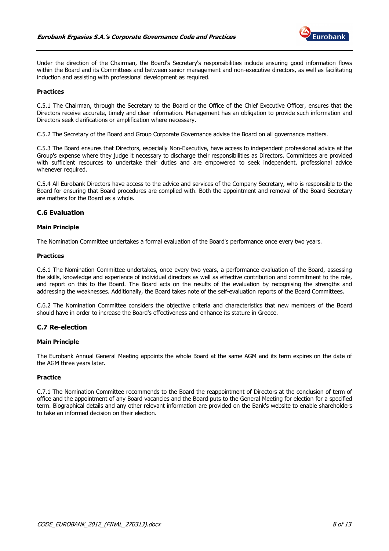

Under the direction of the Chairman, the Board's Secretary's responsibilities include ensuring good information flows within the Board and its Committees and between senior management and non-executive directors, as well as facilitating induction and assisting with professional development as required.

#### Practices

C.5.1 The Chairman, through the Secretary to the Board or the Office of the Chief Executive Officer, ensures that the Directors receive accurate, timely and clear information. Management has an obligation to provide such information and Directors seek clarifications or amplification where necessary.

C.5.2 The Secretary of the Board and Group Corporate Governance advise the Board on all governance matters.

C.5.3 The Board ensures that Directors, especially Non-Executive, have access to independent professional advice at the Group's expense where they judge it necessary to discharge their responsibilities as Directors. Committees are provided with sufficient resources to undertake their duties and are empowered to seek independent, professional advice whenever required.

C.5.4 All Eurobank Directors have access to the advice and services of the Company Secretary, who is responsible to the Board for ensuring that Board procedures are complied with. Both the appointment and removal of the Board Secretary are matters for the Board as a whole.

# C.6 Evaluation

#### Main Principle

The Nomination Committee undertakes a formal evaluation of the Board's performance once every two years.

#### Practices

C.6.1 The Nomination Committee undertakes, once every two years, a performance evaluation of the Board, assessing the skills, knowledge and experience of individual directors as well as effective contribution and commitment to the role, and report on this to the Board. The Board acts on the results of the evaluation by recognising the strengths and addressing the weaknesses. Additionally, the Board takes note of the self-evaluation reports of the Board Committees.

C.6.2 The Nomination Committee considers the objective criteria and characteristics that new members of the Board should have in order to increase the Board's effectiveness and enhance its stature in Greece.

# C.7 Re-election

#### Main Principle

The Eurobank Annual General Meeting appoints the whole Board at the same AGM and its term expires on the date of the AGM three years later.

#### Practice

C.7.1 The Nomination Committee recommends to the Board the reappointment of Directors at the conclusion of term of office and the appointment of any Board vacancies and the Board puts to the General Meeting for election for a specified term. Biographical details and any other relevant information are provided on the Bank's website to enable shareholders to take an informed decision on their election.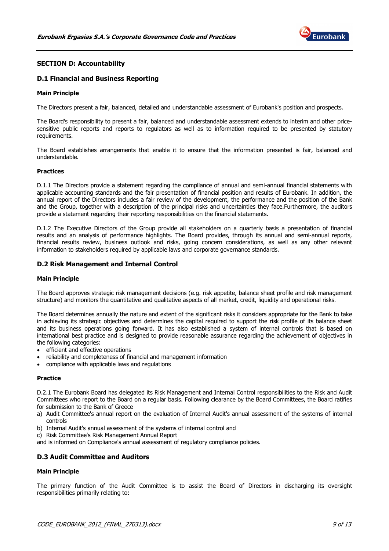

# SECTION D: Accountability

# D.1 Financial and Business Reporting

#### Main Principle

The Directors present a fair, balanced, detailed and understandable assessment of Eurobank's position and prospects.

The Board's responsibility to present a fair, balanced and understandable assessment extends to interim and other pricesensitive public reports and reports to regulators as well as to information required to be presented by statutory requirements.

The Board establishes arrangements that enable it to ensure that the information presented is fair, balanced and understandable.

#### Practices

D.1.1 The Directors provide a statement regarding the compliance of annual and semi-annual financial statements with applicable accounting standards and the fair presentation of financial position and results of Eurobank. In addition, the annual report of the Directors includes a fair review of the development, the performance and the position of the Bank and the Group, together with a description of the principal risks and uncertainties they face.Furthermore, the auditors provide a statement regarding their reporting responsibilities on the financial statements.

D.1.2 The Executive Directors of the Group provide all stakeholders on a quarterly basis a presentation of financial results and an analysis of performance highlights. The Board provides, through its annual and semi-annual reports, financial results review, business outlook and risks, going concern considerations, as well as any other relevant information to stakeholders required by applicable laws and corporate governance standards.

# D.2 Risk Management and Internal Control

#### Main Principle

The Board approves strategic risk management decisions (e.g. risk appetite, balance sheet profile and risk management structure) and monitors the quantitative and qualitative aspects of all market, credit, liquidity and operational risks.

The Board determines annually the nature and extent of the significant risks it considers appropriate for the Bank to take in achieving its strategic objectives and determines the capital required to support the risk profile of its balance sheet and its business operations going forward. It has also established a system of internal controls that is based on international best practice and is designed to provide reasonable assurance regarding the achievement of objectives in the following categories:

- efficient and effective operations
- reliability and completeness of financial and management information
- compliance with applicable laws and regulations

#### Practice

D.2.1 The Eurobank Board has delegated its Risk Management and Internal Control responsibilities to the Risk and Audit Committees who report to the Board on a regular basis. Following clearance by the Board Committees, the Board ratifies for submission to the Bank of Greece

- a) Audit Committee's annual report on the evaluation of Internal Audit's annual assessment of the systems of internal controls
- b) Internal Audit's annual assessment of the systems of internal control and
- c) Risk Committee's Risk Management Annual Report

and is informed on Compliance's annual assessment of regulatory compliance policies.

# D.3 Audit Committee and Auditors

#### Main Principle

The primary function of the Audit Committee is to assist the Board of Directors in discharging its oversight responsibilities primarily relating to: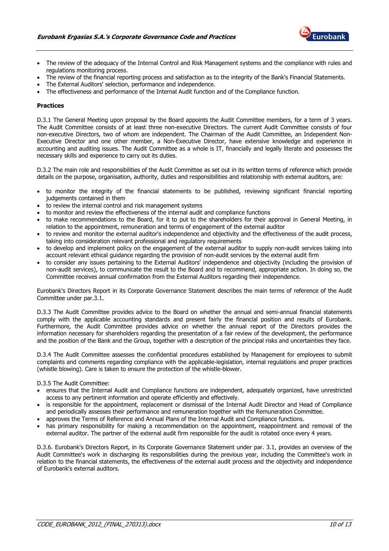

- The review of the adequacy of the Internal Control and Risk Management systems and the compliance with rules and regulations monitoring process.
- The review of the financial reporting process and satisfaction as to the integrity of the Bank's Financial Statements.
- The External Auditors' selection, performance and independence.
- The effectiveness and performance of the Internal Audit function and of the Compliance function.

#### Practices

D.3.1 The General Meeting upon proposal by the Board appoints the Audit Committee members, for a term of 3 years. The Audit Committee consists of at least three non-executive Directors. The current Audit Committee consists of four non-executive Directors, two of whom are independent. The Chairman of the Audit Committee, an Independent Non-Executive Director and one other member, a Non-Executive Director, have extensive knowledge and experience in accounting and auditing issues. The Audit Committee as a whole is IT, financially and legally literate and possesses the necessary skills and experience to carry out its duties.

D.3.2 The main role and responsibilities of the Audit Committee as set out in its written terms of reference which provide details on the purpose, organisation, authority, duties and responsibilities and relationship with external auditors, are:

- to monitor the integrity of the financial statements to be published, reviewing significant financial reporting judgements contained in them
- to review the internal control and risk management systems
- to monitor and review the effectiveness of the internal audit and compliance functions
- to make recommendations to the Board, for it to put to the shareholders for their approval in General Meeting, in relation to the appointment, remuneration and terms of engagement of the external auditor
- to review and monitor the external auditor's independence and objectivity and the effectiveness of the audit process, taking into consideration relevant professional and regulatory requirements
- to develop and implement policy on the engagement of the external auditor to supply non-audit services taking into account relevant ethical guidance regarding the provision of non-audit services by the external audit firm
- to consider any issues pertaining to the External Auditors' independence and objectivity (including the provision of non-audit services), to communicate the result to the Board and to recommend, appropriate action. In doing so, the Committee receives annual confirmation from the External Auditors regarding their independence.

Eurobank's Directors Report in its Corporate Governance Statement describes the main terms of reference of the Audit Committee under par.3.1.

D.3.3 The Audit Committee provides advice to the Board on whether the annual and semi-annual financial statements comply with the applicable accounting standards and present fairly the financial position and results of Eurobank. Furthermore, the Audit Committee provides advice on whether the annual report of the Directors provides the information necessary for shareholders regarding the presentation of a fair review of the development, the performance and the position of the Bank and the Group, together with a description of the principal risks and uncertainties they face.

D.3.4 The Audit Committee assesses the confidential procedures established by Management for employees to submit complaints and comments regarding compliance with the applicable-legislation, internal regulations and proper practices (whistle blowing). Care is taken to ensure the protection of the whistle-blower.

#### D.3.5 The Audit Committee:

- ensures that the Internal Audit and Compliance functions are independent, adequately organized, have unrestricted access to any pertinent information and operate efficiently and effectively.
- is responsible for the appointment, replacement or dismissal of the Internal Audit Director and Head of Compliance and periodically assesses their performance and remuneration together with the Remuneration Committee.
- approves the Terms of Reference and Annual Plans of the Internal Audit and Compliance functions.
- has primary responsibility for making a recommendation on the appointment, reappointment and removal of the external auditor. The partner of the external audit firm responsible for the audit is rotated once every 4 years.

D.3.6. Eurobank's Directors Report, in its Corporate Governance Statement under par. 3.1, provides an overview of the Audit Committee's work in discharging its responsibilities during the previous year, including the Committee's work in relation to the financial statements, the effectiveness of the external audit process and the objectivity and independence of Eurobank's external auditors.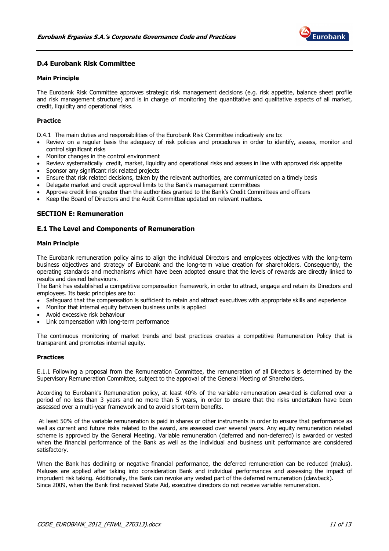

# D.4 Eurobank Risk Committee

#### Main Principle

The Eurobank Risk Committee approves strategic risk management decisions (e.g. risk appetite, balance sheet profile and risk management structure) and is in charge of monitoring the quantitative and qualitative aspects of all market, credit, liquidity and operational risks.

#### Practice

D.4.1 The main duties and responsibilities of the Eurobank Risk Committee indicatively are to:

- Review on a regular basis the adequacy of risk policies and procedures in order to identify, assess, monitor and control significant risks
- Monitor changes in the control environment
- Review systematically credit, market, liquidity and operational risks and assess in line with approved risk appetite
- Sponsor any significant risk related projects
- Ensure that risk related decisions, taken by the relevant authorities, are communicated on a timely basis
- Delegate market and credit approval limits to the Bank's management committees
- Approve credit lines greater than the authorities granted to the Bank's Credit Committees and officers
- Keep the Board of Directors and the Audit Committee updated on relevant matters.

# SECTION E: Remuneration

#### E.1 The Level and Components of Remuneration

#### Main Principle

The Eurobank remuneration policy aims to align the individual Directors and employees objectives with the long-term business objectives and strategy of Eurobank and the long-term value creation for shareholders. Consequently, the operating standards and mechanisms which have been adopted ensure that the levels of rewards are directly linked to results and desired behaviours.

The Bank has established a competitive compensation framework, in order to attract, engage and retain its Directors and employees. Its basic principles are to:

- Safeguard that the compensation is sufficient to retain and attract executives with appropriate skills and experience
- Monitor that internal equity between business units is applied
- Avoid excessive risk behaviour
- Link compensation with long-term performance

The continuous monitoring of market trends and best practices creates a competitive Remuneration Policy that is transparent and promotes internal equity.

#### Practices

E.1.1 Following a proposal from the Remuneration Committee, the remuneration of all Directors is determined by the Supervisory Remuneration Committee, subject to the approval of the General Meeting of Shareholders.

According to Eurobank's Remuneration policy, at least 40% of the variable remuneration awarded is deferred over a period of no less than 3 years and no more than 5 years, in order to ensure that the risks undertaken have been assessed over a multi-year framework and to avoid short-term benefits.

 At least 50% of the variable remuneration is paid in shares or other instruments in order to ensure that performance as well as current and future risks related to the award, are assessed over several years. Any equity remuneration related scheme is approved by the General Meeting. Variable remuneration (deferred and non-deferred) is awarded or vested when the financial performance of the Bank as well as the individual and business unit performance are considered satisfactory.

When the Bank has declining or negative financial performance, the deferred remuneration can be reduced (malus). Maluses are applied after taking into consideration Bank and individual performances and assessing the impact of imprudent risk taking. Additionally, the Bank can revoke any vested part of the deferred remuneration (clawback). Since 2009, when the Bank first received State Aid, executive directors do not receive variable remuneration.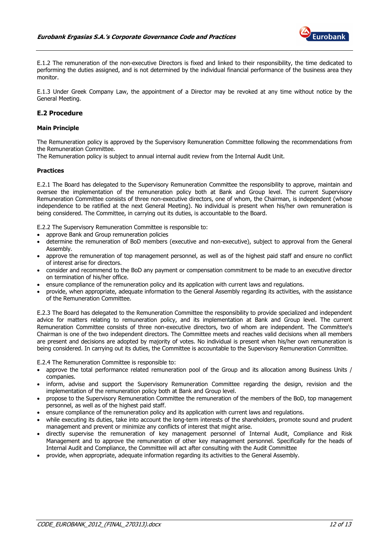

E.1.2 The remuneration of the non-executive Directors is fixed and linked to their responsibility, the time dedicated to performing the duties assigned, and is not determined by the individual financial performance of the business area they monitor.

E.1.3 Under Greek Company Law, the appointment of a Director may be revoked at any time without notice by the General Meeting.

# E.2 Procedure

#### Main Principle

The Remuneration policy is approved by the Supervisory Remuneration Committee following the recommendations from the Remuneration Committee.

The Remuneration policy is subject to annual internal audit review from the Internal Audit Unit.

#### **Practices**

E.2.1 The Board has delegated to the Supervisory Remuneration Committee the responsibility to approve, maintain and oversee the implementation of the remuneration policy both at Bank and Group level. The current Supervisory Remuneration Committee consists of three non-executive directors, one of whom, the Chairman, is independent (whose independence to be ratified at the next General Meeting). No individual is present when his/her own remuneration is being considered. The Committee, in carrying out its duties, is accountable to the Board.

E.2.2 The Supervisory Remuneration Committee is responsible to:

- approve Bank and Group remuneration policies
- determine the remuneration of BoD members (executive and non-executive), subject to approval from the General Assembly.
- approve the remuneration of top management personnel, as well as of the highest paid staff and ensure no conflict of interest arise for directors.
- consider and recommend to the BoD any payment or compensation commitment to be made to an executive director on termination of his/her office.
- ensure compliance of the remuneration policy and its application with current laws and regulations.
- provide, when appropriate, adequate information to the General Assembly regarding its activities, with the assistance of the Remuneration Committee.

E.2.3 The Board has delegated to the Remuneration Committee the responsibility to provide specialized and independent advice for matters relating to remuneration policy, and its implementation at Bank and Group level. The current Remuneration Committee consists of three non-executive directors, two of whom are independent. The Committee's Chairman is one of the two independent directors. The Committee meets and reaches valid decisions when all members are present and decisions are adopted by majority of votes. No individual is present when his/her own remuneration is being considered. In carrying out its duties, the Committee is accountable to the Supervisory Remuneration Committee.

E.2.4 The Remuneration Committee is responsible to:

- approve the total performance related remuneration pool of the Group and its allocation among Business Units / companies.
- inform, advise and support the Supervisory Remuneration Committee regarding the design, revision and the implementation of the remuneration policy both at Bank and Group level.
- propose to the Supervisory Remuneration Committee the remuneration of the members of the BoD, top management personnel, as well as of the highest paid staff.
- ensure compliance of the remuneration policy and its application with current laws and regulations.
- while executing its duties, take into account the long-term interests of the shareholders, promote sound and prudent management and prevent or minimize any conflicts of interest that might arise.
- directly supervise the remuneration of key management personnel of Internal Audit, Compliance and Risk Management and to approve the remuneration of other key management personnel. Specifically for the heads of Internal Audit and Compliance, the Committee will act after consulting with the Audit Committee
- provide, when appropriate, adequate information regarding its activities to the General Assembly.